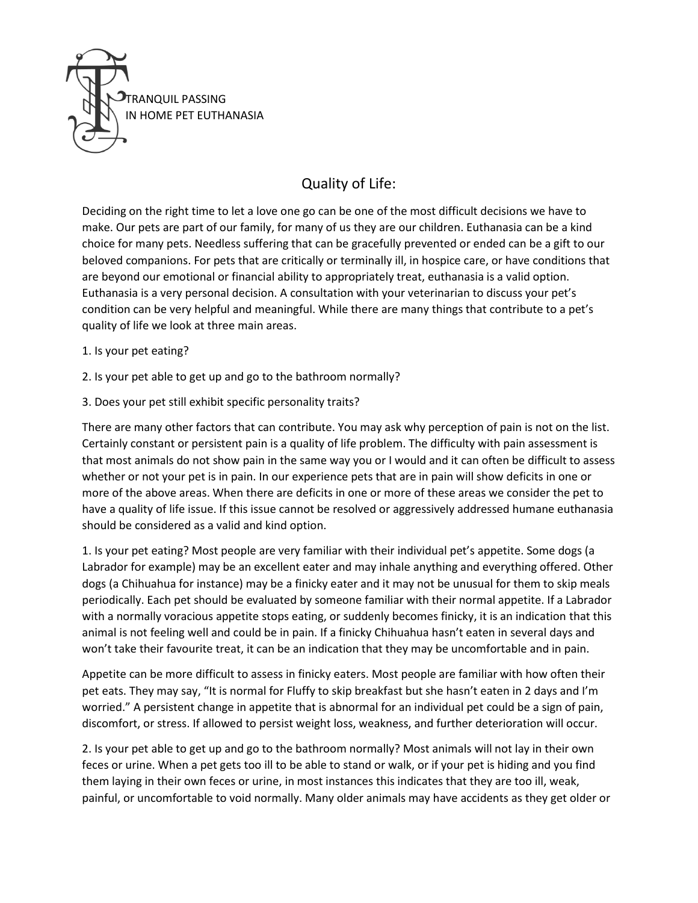

## Quality of Life:

Deciding on the right time to let a love one go can be one of the most difficult decisions we have to make. Our pets are part of our family, for many of us they are our children. Euthanasia can be a kind choice for many pets. Needless suffering that can be gracefully prevented or ended can be a gift to our beloved companions. For pets that are critically or terminally ill, in hospice care, or have conditions that are beyond our emotional or financial ability to appropriately treat, euthanasia is a valid option. Euthanasia is a very personal decision. A consultation with your veterinarian to discuss your pet's condition can be very helpful and meaningful. While there are many things that contribute to a pet's quality of life we look at three main areas.

- 1. Is your pet eating?
- 2. Is your pet able to get up and go to the bathroom normally?
- 3. Does your pet still exhibit specific personality traits?

There are many other factors that can contribute. You may ask why perception of pain is not on the list. Certainly constant or persistent pain is a quality of life problem. The difficulty with pain assessment is that most animals do not show pain in the same way you or I would and it can often be difficult to assess whether or not your pet is in pain. In our experience pets that are in pain will show deficits in one or more of the above areas. When there are deficits in one or more of these areas we consider the pet to have a quality of life issue. If this issue cannot be resolved or aggressively addressed humane euthanasia should be considered as a valid and kind option.

1. Is your pet eating? Most people are very familiar with their individual pet's appetite. Some dogs (a Labrador for example) may be an excellent eater and may inhale anything and everything offered. Other dogs (a Chihuahua for instance) may be a finicky eater and it may not be unusual for them to skip meals periodically. Each pet should be evaluated by someone familiar with their normal appetite. If a Labrador with a normally voracious appetite stops eating, or suddenly becomes finicky, it is an indication that this animal is not feeling well and could be in pain. If a finicky Chihuahua hasn't eaten in several days and won't take their favourite treat, it can be an indication that they may be uncomfortable and in pain.

Appetite can be more difficult to assess in finicky eaters. Most people are familiar with how often their pet eats. They may say, "It is normal for Fluffy to skip breakfast but she hasn't eaten in 2 days and I'm worried." A persistent change in appetite that is abnormal for an individual pet could be a sign of pain, discomfort, or stress. If allowed to persist weight loss, weakness, and further deterioration will occur.

2. Is your pet able to get up and go to the bathroom normally? Most animals will not lay in their own feces or urine. When a pet gets too ill to be able to stand or walk, or if your pet is hiding and you find them laying in their own feces or urine, in most instances this indicates that they are too ill, weak, painful, or uncomfortable to void normally. Many older animals may have accidents as they get older or